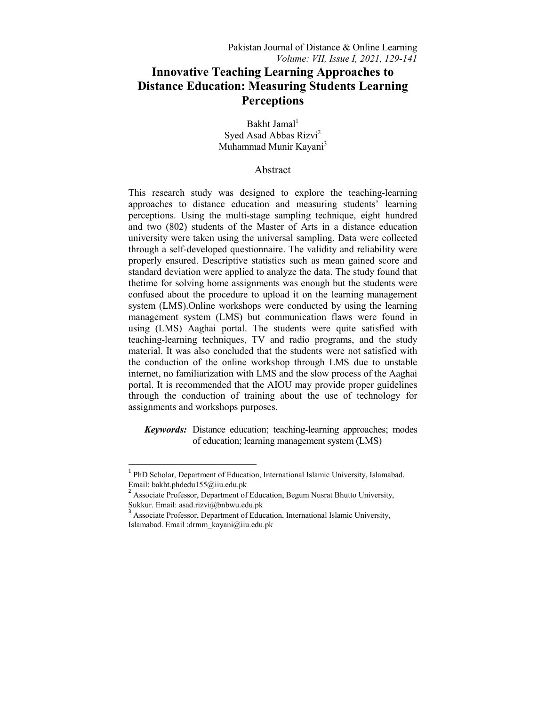# **Innovative Teaching Learning Approaches to Distance Education: Measuring Students Learning Perceptions**

Bakht Jamal<sup>1</sup> Syed Asad Abbas Rizvi<sup>2</sup> Muhammad Munir Kayani<sup>3</sup>

## Abstract

This research study was designed to explore the teaching-learning approaches to distance education and measuring students' learning perceptions. Using the multi-stage sampling technique, eight hundred and two (802) students of the Master of Arts in a distance education university were taken using the universal sampling. Data were collected through a self-developed questionnaire. The validity and reliability were properly ensured. Descriptive statistics such as mean gained score and standard deviation were applied to analyze the data. The study found that thetime for solving home assignments was enough but the students were confused about the procedure to upload it on the learning management system (LMS).Online workshops were conducted by using the learning management system (LMS) but communication flaws were found in using (LMS) Aaghai portal. The students were quite satisfied with teaching-learning techniques, TV and radio programs, and the study material. It was also concluded that the students were not satisfied with the conduction of the online workshop through LMS due to unstable internet, no familiarization with LMS and the slow process of the Aaghai portal. It is recommended that the AIOU may provide proper guidelines through the conduction of training about the use of technology for assignments and workshops purposes.

*Keywords:* Distance education; teaching-learning approaches; modes of education; learning management system (LMS)

**.** 

<sup>&</sup>lt;sup>1</sup> PhD Scholar, Department of Education, International Islamic University, Islamabad. Email: bakht.phdedu155@iiu.edu.pk

<sup>&</sup>lt;sup>2</sup> Associate Professor, Department of Education, Begum Nusrat Bhutto University, Sukkur. Email: asad.rizvi@bnbwu.edu.pk

<sup>&</sup>lt;sup>3</sup> Associate Professor, Department of Education, International Islamic University, Islamabad. Email :drmm\_kayani@iiu.edu.pk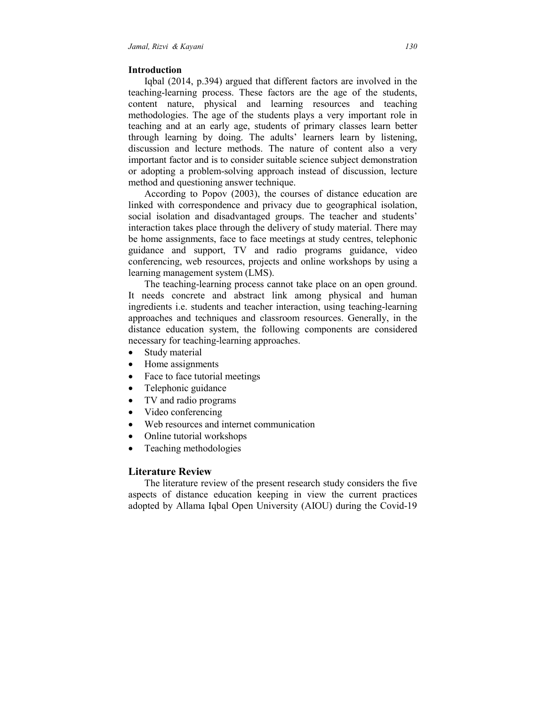## **Introduction**

 Iqbal (2014, p.394) argued that different factors are involved in the teaching-learning process. These factors are the age of the students, content nature, physical and learning resources and teaching methodologies. The age of the students plays a very important role in teaching and at an early age, students of primary classes learn better through learning by doing. The adults' learners learn by listening, discussion and lecture methods. The nature of content also a very important factor and is to consider suitable science subject demonstration or adopting a problem-solving approach instead of discussion, lecture method and questioning answer technique.

 According to Popov (2003), the courses of distance education are linked with correspondence and privacy due to geographical isolation, social isolation and disadvantaged groups. The teacher and students' interaction takes place through the delivery of study material. There may be home assignments, face to face meetings at study centres, telephonic guidance and support, TV and radio programs guidance, video conferencing, web resources, projects and online workshops by using a learning management system (LMS).

 The teaching-learning process cannot take place on an open ground. It needs concrete and abstract link among physical and human ingredients i.e. students and teacher interaction, using teaching-learning approaches and techniques and classroom resources. Generally, in the distance education system, the following components are considered necessary for teaching-learning approaches.

- Study material
- Home assignments
- Face to face tutorial meetings
- Telephonic guidance
- TV and radio programs
- Video conferencing
- Web resources and internet communication
- Online tutorial workshops
- Teaching methodologies

## **Literature Review**

 The literature review of the present research study considers the five aspects of distance education keeping in view the current practices adopted by Allama Iqbal Open University (AIOU) during the Covid-19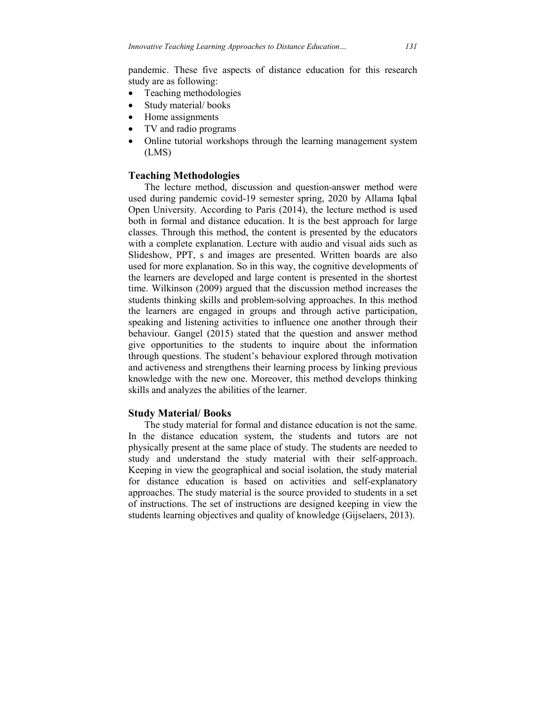pandemic. These five aspects of distance education for this research study are as following:

- Teaching methodologies
- Study material/books
- Home assignments
- TV and radio programs
- Online tutorial workshops through the learning management system (LMS)

# **Teaching Methodologies**

 The lecture method, discussion and question-answer method were used during pandemic covid-19 semester spring, 2020 by Allama Iqbal Open University. According to Paris (2014), the lecture method is used both in formal and distance education. It is the best approach for large classes. Through this method, the content is presented by the educators with a complete explanation. Lecture with audio and visual aids such as Slideshow, PPT, s and images are presented. Written boards are also used for more explanation. So in this way, the cognitive developments of the learners are developed and large content is presented in the shortest time. Wilkinson (2009) argued that the discussion method increases the students thinking skills and problem-solving approaches. In this method the learners are engaged in groups and through active participation, speaking and listening activities to influence one another through their behaviour. Gangel (2015) stated that the question and answer method give opportunities to the students to inquire about the information through questions. The student's behaviour explored through motivation and activeness and strengthens their learning process by linking previous knowledge with the new one. Moreover, this method develops thinking skills and analyzes the abilities of the learner.

#### **Study Material/ Books**

 The study material for formal and distance education is not the same. In the distance education system, the students and tutors are not physically present at the same place of study. The students are needed to study and understand the study material with their self-approach. Keeping in view the geographical and social isolation, the study material for distance education is based on activities and self-explanatory approaches. The study material is the source provided to students in a set of instructions. The set of instructions are designed keeping in view the students learning objectives and quality of knowledge (Gijselaers, 2013).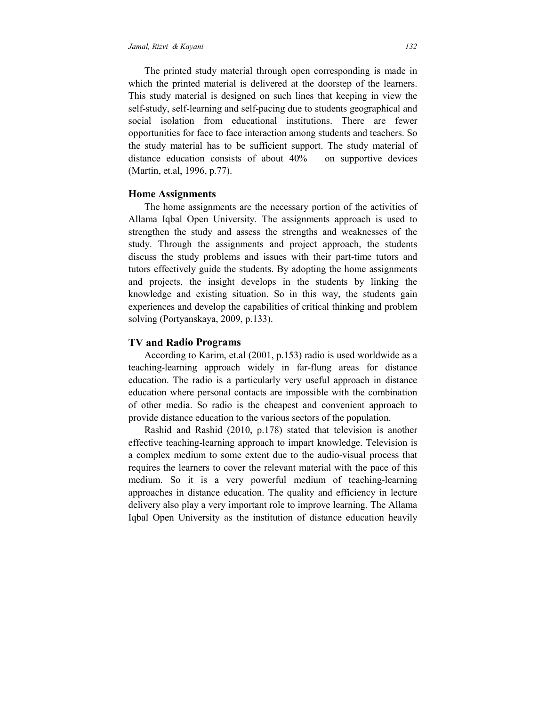The printed study material through open corresponding is made in which the printed material is delivered at the doorstep of the learners. This study material is designed on such lines that keeping in view the self-study, self-learning and self-pacing due to students geographical and social isolation from educational institutions. There are fewer opportunities for face to face interaction among students and teachers. So the study material has to be sufficient support. The study material of distance education consists of about 40% on supportive devices (Martin, et.al, 1996, p.77).

#### **Home Assignments**

 The home assignments are the necessary portion of the activities of Allama Iqbal Open University. The assignments approach is used to strengthen the study and assess the strengths and weaknesses of the study. Through the assignments and project approach, the students discuss the study problems and issues with their part-time tutors and tutors effectively guide the students. By adopting the home assignments and projects, the insight develops in the students by linking the knowledge and existing situation. So in this way, the students gain experiences and develop the capabilities of critical thinking and problem solving (Portyanskaya, 2009, p.133).

## **TV and Radio Programs**

 According to Karim, et.al (2001, p.153) radio is used worldwide as a teaching-learning approach widely in far-flung areas for distance education. The radio is a particularly very useful approach in distance education where personal contacts are impossible with the combination of other media. So radio is the cheapest and convenient approach to provide distance education to the various sectors of the population.

 Rashid and Rashid (2010, p.178) stated that television is another effective teaching-learning approach to impart knowledge. Television is a complex medium to some extent due to the audio-visual process that requires the learners to cover the relevant material with the pace of this medium. So it is a very powerful medium of teaching-learning approaches in distance education. The quality and efficiency in lecture delivery also play a very important role to improve learning. The Allama Iqbal Open University as the institution of distance education heavily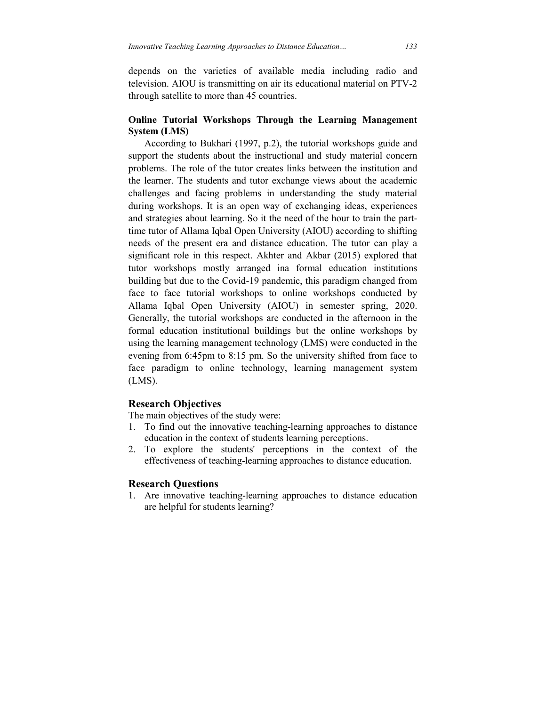depends on the varieties of available media including radio and television. AIOU is transmitting on air its educational material on PTV-2 through satellite to more than 45 countries.

# **Online Tutorial Workshops Through the Learning Management System (LMS)**

 According to Bukhari (1997, p.2), the tutorial workshops guide and support the students about the instructional and study material concern problems. The role of the tutor creates links between the institution and the learner. The students and tutor exchange views about the academic challenges and facing problems in understanding the study material during workshops. It is an open way of exchanging ideas, experiences and strategies about learning. So it the need of the hour to train the parttime tutor of Allama Iqbal Open University (AIOU) according to shifting needs of the present era and distance education. The tutor can play a significant role in this respect. Akhter and Akbar (2015) explored that tutor workshops mostly arranged ina formal education institutions building but due to the Covid-19 pandemic, this paradigm changed from face to face tutorial workshops to online workshops conducted by Allama Iqbal Open University (AIOU) in semester spring, 2020. Generally, the tutorial workshops are conducted in the afternoon in the formal education institutional buildings but the online workshops by using the learning management technology (LMS) were conducted in the evening from 6:45pm to 8:15 pm. So the university shifted from face to face paradigm to online technology, learning management system (LMS).

## **Research Objectives**

The main objectives of the study were:

- 1. To find out the innovative teaching-learning approaches to distance education in the context of students learning perceptions.
- 2. To explore the students' perceptions in the context of the effectiveness of teaching-learning approaches to distance education.

## **Research Questions**

1. Are innovative teaching-learning approaches to distance education are helpful for students learning?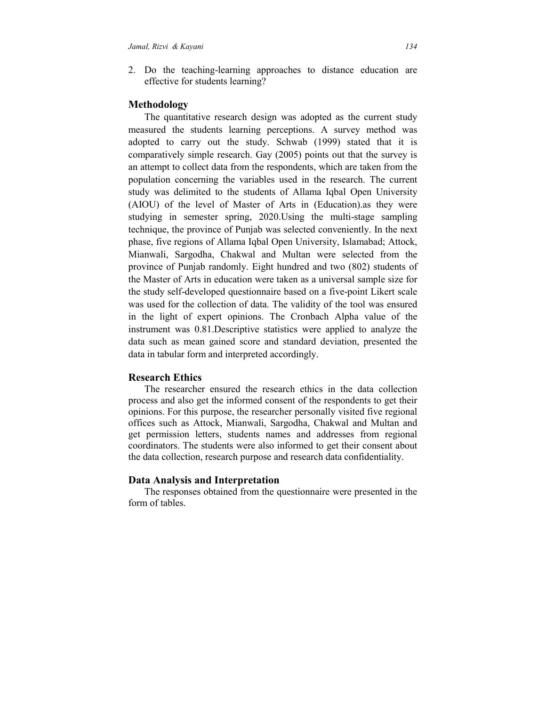2. Do the teaching-learning approaches to distance education are effective for students learning?

## **Methodology**

 The quantitative research design was adopted as the current study measured the students learning perceptions. A survey method was adopted to carry out the study. Schwab (1999) stated that it is comparatively simple research. Gay (2005) points out that the survey is an attempt to collect data from the respondents, which are taken from the population concerning the variables used in the research. The current study was delimited to the students of Allama Iqbal Open University (AIOU) of the level of Master of Arts in (Education).as they were studying in semester spring, 2020.Using the multi-stage sampling technique, the province of Punjab was selected conveniently. In the next phase, five regions of Allama Iqbal Open University, Islamabad; Attock, Mianwali, Sargodha, Chakwal and Multan were selected from the province of Punjab randomly. Eight hundred and two (802) students of the Master of Arts in education were taken as a universal sample size for the study self-developed questionnaire based on a five-point Likert scale was used for the collection of data. The validity of the tool was ensured in the light of expert opinions. The Cronbach Alpha value of the instrument was 0.81.Descriptive statistics were applied to analyze the data such as mean gained score and standard deviation, presented the data in tabular form and interpreted accordingly.

# **Research Ethics**

 The researcher ensured the research ethics in the data collection process and also get the informed consent of the respondents to get their opinions. For this purpose, the researcher personally visited five regional offices such as Attock, Mianwali, Sargodha, Chakwal and Multan and get permission letters, students names and addresses from regional coordinators. The students were also informed to get their consent about the data collection, research purpose and research data confidentiality.

## **Data Analysis and Interpretation**

 The responses obtained from the questionnaire were presented in the form of tables.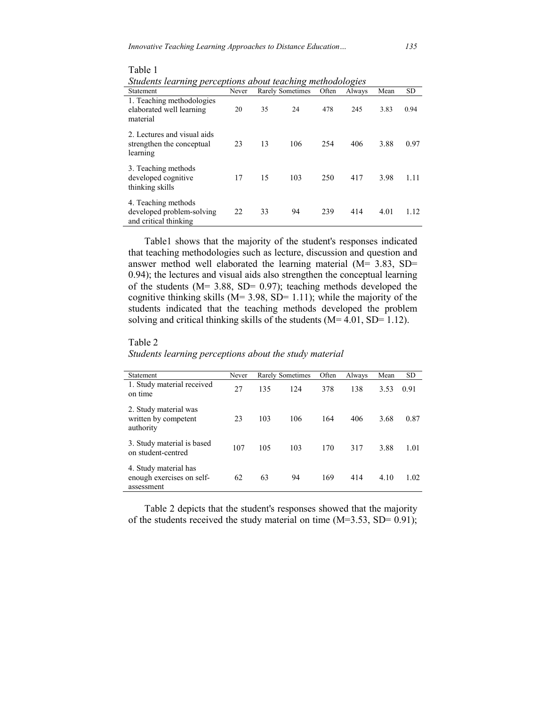| Students learning perceptions about teaching methodologies                |       |                         |     |       |        |      |           |  |  |
|---------------------------------------------------------------------------|-------|-------------------------|-----|-------|--------|------|-----------|--|--|
| Statement                                                                 | Never | <b>Rarely Sometimes</b> |     | Often | Always | Mean | <b>SD</b> |  |  |
| 1. Teaching methodologies<br>elaborated well learning<br>material         | 20    | 35                      | 24  | 478   | 245    | 3.83 | 0.94      |  |  |
| 2. Lectures and visual aids<br>strengthen the conceptual<br>learning      | 23    | 13                      | 106 | 254   | 406    | 3.88 | 0.97      |  |  |
| 3. Teaching methods<br>developed cognitive<br>thinking skills             | 17    | 15                      | 103 | 250   | 417    | 3.98 | 1.11      |  |  |
| 4. Teaching methods<br>developed problem-solving<br>and critical thinking | 22    | 33                      | 94  | 239   | 414    | 4.01 | 1.12      |  |  |

Table 1

 Table1 shows that the majority of the student's responses indicated that teaching methodologies such as lecture, discussion and question and answer method well elaborated the learning material (M= 3.83, SD= 0.94); the lectures and visual aids also strengthen the conceptual learning of the students ( $M = 3.88$ , SD= 0.97); teaching methods developed the cognitive thinking skills ( $M = 3.98$ , SD= 1.11); while the majority of the students indicated that the teaching methods developed the problem solving and critical thinking skills of the students (M= 4.01, SD= 1.12).

#### Table 2

*Students learning perceptions about the study material* 

| Statement                                                        | Never |     | Rarely Sometimes | Often | Always | Mean | <b>SD</b> |
|------------------------------------------------------------------|-------|-----|------------------|-------|--------|------|-----------|
| 1. Study material received<br>on time                            | 27    | 135 | 124              | 378   | 138    | 3.53 | 0.91      |
| 2. Study material was<br>written by competent<br>authority       | 23    | 103 | 106              | 164   | 406    | 3.68 | 0.87      |
| 3. Study material is based<br>on student-centred                 | 107   | 105 | 103              | 170   | 317    | 3.88 | 1.01      |
| 4. Study material has<br>enough exercises on self-<br>assessment | 62    | 63  | 94               | 169   | 414    | 4.10 | 1.02      |

 Table 2 depicts that the student's responses showed that the majority of the students received the study material on time  $(M=3.53, SD= 0.91)$ ;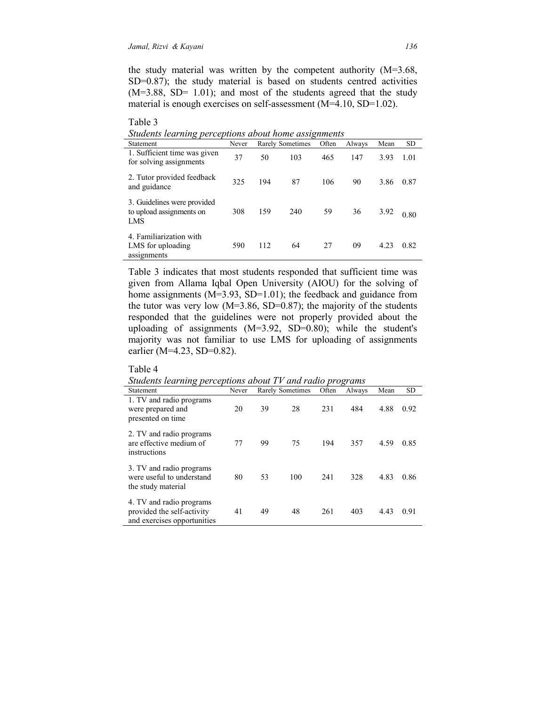Table 3

the study material was written by the competent authority (M=3.68, SD=0.87); the study material is based on students centred activities  $(M=3.88, SD= 1.01)$ ; and most of the students agreed that the study material is enough exercises on self-assessment (M=4.10, SD=1.02).

| Students learning perceptions about home assignments                  |       |                  |     |       |        |      |           |  |
|-----------------------------------------------------------------------|-------|------------------|-----|-------|--------|------|-----------|--|
| <b>Statement</b>                                                      | Never | Rarely Sometimes |     | Often | Always | Mean | <b>SD</b> |  |
| 1. Sufficient time was given<br>for solving assignments               | 37    | 50               | 103 | 465   | 147    | 3.93 | 1.01      |  |
| 2. Tutor provided feedback<br>and guidance                            | 325   | 194              | 87  | 106   | 90     | 3.86 | 0.87      |  |
| 3. Guidelines were provided<br>to upload assignments on<br><b>LMS</b> | 308   | 159              | 240 | 59    | 36     | 3.92 | 0.80      |  |
| 4. Familiarization with<br>LMS for uploading<br>assignments           | 590   | 112              | 64  | 27    | 09     | 4.23 | 0.82      |  |

Table 3 indicates that most students responded that sufficient time was given from Allama Iqbal Open University (AIOU) for the solving of home assignments (M=3.93, SD=1.01); the feedback and guidance from the tutor was very low  $(M=3.86, SD=0.87)$ ; the majority of the students responded that the guidelines were not properly provided about the uploading of assignments (M=3.92, SD=0.80); while the student's majority was not familiar to use LMS for uploading of assignments earlier (M=4.23, SD=0.82).

## Table 4

*Students learning perceptions about TV and radio programs* 

| ິ<br>Statement                                                                        | Never |    | Rarely Sometimes | Often | Always | Mean | <b>SD</b> |
|---------------------------------------------------------------------------------------|-------|----|------------------|-------|--------|------|-----------|
| 1. TV and radio programs<br>were prepared and<br>presented on time                    | 20    | 39 | 28               | 231   | 484    | 4.88 | 0.92      |
| 2. TV and radio programs<br>are effective medium of<br>instructions                   | 77    | 99 | 75               | 194   | 357    | 4.59 | 0.85      |
| 3. TV and radio programs<br>were useful to understand<br>the study material           | 80    | 53 | 100              | 241   | 328    | 4.83 | 0.86      |
| 4. TV and radio programs<br>provided the self-activity<br>and exercises opportunities | 41    | 49 | 48               | 261   | 403    | 4.43 | 0.91      |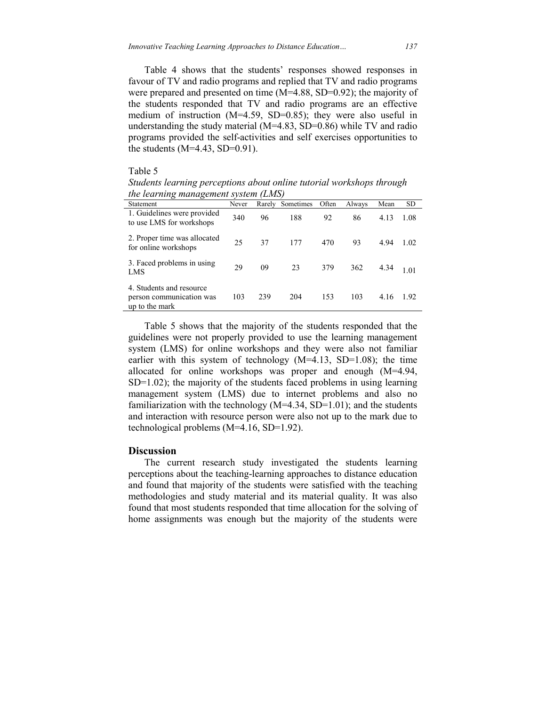Table 4 shows that the students' responses showed responses in favour of TV and radio programs and replied that TV and radio programs were prepared and presented on time (M=4.88, SD=0.92); the majority of the students responded that TV and radio programs are an effective medium of instruction (M=4.59, SD=0.85); they were also useful in understanding the study material  $(M=4.83, SD=0.86)$  while TV and radio programs provided the self-activities and self exercises opportunities to the students  $(M=4.43, SD=0.91)$ .

## Table 5

*Students learning perceptions about online tutorial workshops through the learning management system (LMS)* 

| Statement                                                              | Never | Rarely | Sometimes | Often | Always | Mean | <b>SD</b> |
|------------------------------------------------------------------------|-------|--------|-----------|-------|--------|------|-----------|
| 1. Guidelines were provided<br>to use LMS for workshops                | 340   | 96     | 188       | 92    | 86     | 4.13 | 1.08      |
| 2. Proper time was allocated<br>for online workshops                   | 25    | 37     | 177       | 470   | 93     | 4.94 | 1.02      |
| 3. Faced problems in using<br>LMS                                      | 29    | 09     | 23        | 379   | 362    | 4.34 | l 01      |
| 4. Students and resource<br>person communication was<br>up to the mark | 103   | 239    | 204       | 153   | 103    | 4.16 | 1.92      |

Table 5 shows that the majority of the students responded that the guidelines were not properly provided to use the learning management system (LMS) for online workshops and they were also not familiar earlier with this system of technology  $(M=4.13, SD=1.08)$ ; the time allocated for online workshops was proper and enough (M=4.94, SD=1.02); the majority of the students faced problems in using learning management system (LMS) due to internet problems and also no familiarization with the technology  $(M=4.34, SD=1.01)$ ; and the students and interaction with resource person were also not up to the mark due to technological problems (M=4.16, SD=1.92).

## **Discussion**

 The current research study investigated the students learning perceptions about the teaching-learning approaches to distance education and found that majority of the students were satisfied with the teaching methodologies and study material and its material quality. It was also found that most students responded that time allocation for the solving of home assignments was enough but the majority of the students were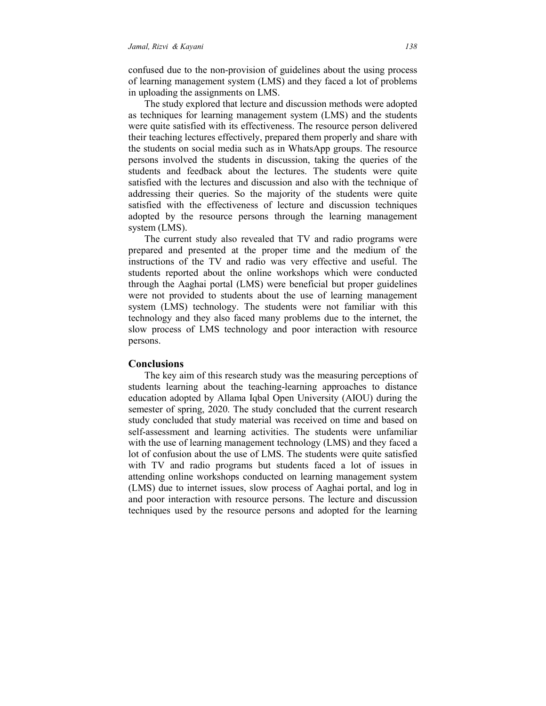confused due to the non-provision of guidelines about the using process of learning management system (LMS) and they faced a lot of problems in uploading the assignments on LMS.

 The study explored that lecture and discussion methods were adopted as techniques for learning management system (LMS) and the students were quite satisfied with its effectiveness. The resource person delivered their teaching lectures effectively, prepared them properly and share with the students on social media such as in WhatsApp groups. The resource persons involved the students in discussion, taking the queries of the students and feedback about the lectures. The students were quite satisfied with the lectures and discussion and also with the technique of addressing their queries. So the majority of the students were quite satisfied with the effectiveness of lecture and discussion techniques adopted by the resource persons through the learning management system (LMS).

 The current study also revealed that TV and radio programs were prepared and presented at the proper time and the medium of the instructions of the TV and radio was very effective and useful. The students reported about the online workshops which were conducted through the Aaghai portal (LMS) were beneficial but proper guidelines were not provided to students about the use of learning management system (LMS) technology. The students were not familiar with this technology and they also faced many problems due to the internet, the slow process of LMS technology and poor interaction with resource persons.

## **Conclusions**

 The key aim of this research study was the measuring perceptions of students learning about the teaching-learning approaches to distance education adopted by Allama Iqbal Open University (AIOU) during the semester of spring, 2020. The study concluded that the current research study concluded that study material was received on time and based on self-assessment and learning activities. The students were unfamiliar with the use of learning management technology (LMS) and they faced a lot of confusion about the use of LMS. The students were quite satisfied with TV and radio programs but students faced a lot of issues in attending online workshops conducted on learning management system (LMS) due to internet issues, slow process of Aaghai portal, and log in and poor interaction with resource persons. The lecture and discussion techniques used by the resource persons and adopted for the learning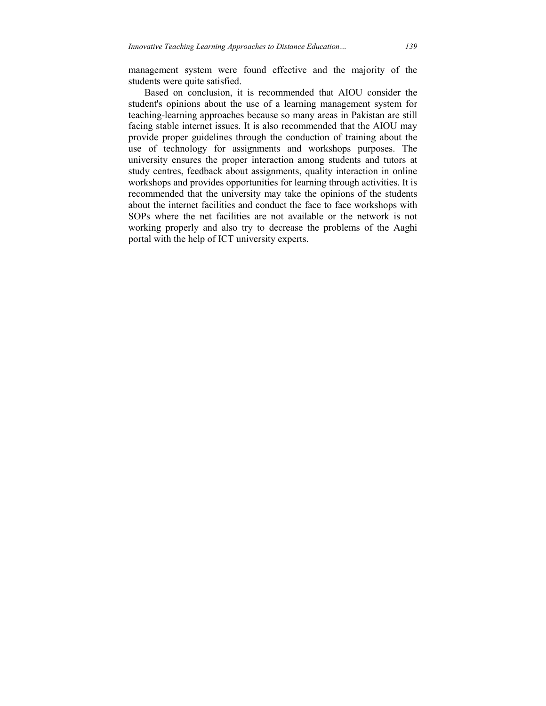management system were found effective and the majority of the students were quite satisfied.

 Based on conclusion, it is recommended that AIOU consider the student's opinions about the use of a learning management system for teaching-learning approaches because so many areas in Pakistan are still facing stable internet issues. It is also recommended that the AIOU may provide proper guidelines through the conduction of training about the use of technology for assignments and workshops purposes. The university ensures the proper interaction among students and tutors at study centres, feedback about assignments, quality interaction in online workshops and provides opportunities for learning through activities. It is recommended that the university may take the opinions of the students about the internet facilities and conduct the face to face workshops with SOPs where the net facilities are not available or the network is not working properly and also try to decrease the problems of the Aaghi portal with the help of ICT university experts.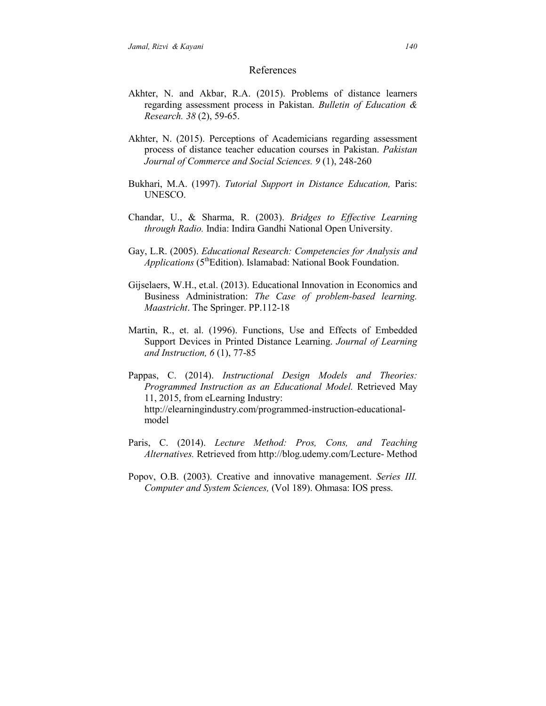#### References

- Akhter, N. and Akbar, R.A. (2015). Problems of distance learners regarding assessment process in Pakistan. *Bulletin of Education & Research. 38* (2), 59-65.
- Akhter, N. (2015). Perceptions of Academicians regarding assessment process of distance teacher education courses in Pakistan. *Pakistan Journal of Commerce and Social Sciences. 9* (1), 248-260
- Bukhari, M.A. (1997). *Tutorial Support in Distance Education,* Paris: UNESCO.
- Chandar, U., & Sharma, R. (2003). *Bridges to Effective Learning through Radio.* India: Indira Gandhi National Open University.
- Gay, L.R. (2005). *Educational Research: Competencies for Analysis and Applications* (5<sup>th</sup>Edition). Islamabad: National Book Foundation.
- Gijselaers, W.H., et.al. (2013). Educational Innovation in Economics and Business Administration: *The Case of problem-based learning. Maastricht*. The Springer. PP.112-18
- Martin, R., et. al. (1996). Functions, Use and Effects of Embedded Support Devices in Printed Distance Learning. *Journal of Learning and Instruction, 6* (1), 77-85
- Pappas, C. (2014). *Instructional Design Models and Theories: Programmed Instruction as an Educational Model.* Retrieved May 11, 2015, from eLearning Industry: http://elearningindustry.com/programmed-instruction-educationalmodel
- Paris, C. (2014). *Lecture Method: Pros, Cons, and Teaching Alternatives.* Retrieved from http://blog.udemy.com/Lecture- Method
- Popov, O.B. (2003). Creative and innovative management. *Series III. Computer and System Sciences,* (Vol 189). Ohmasa: IOS press.